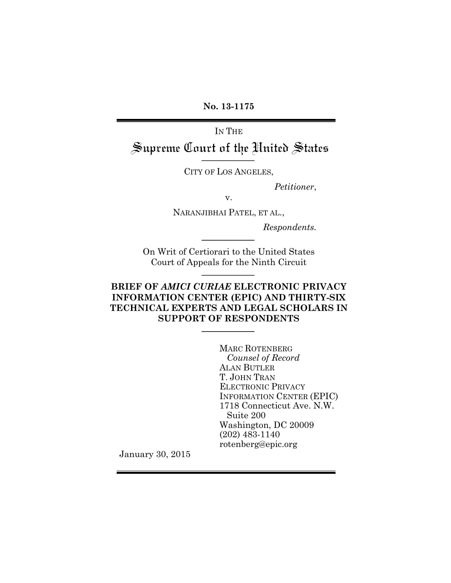**No. 13-1175**

IN THE

Supreme Court of the United States

CITY OF LOS ANGELES,

*Petitioner*,

v.

NARANJIBHAI PATEL, ET AL.,

*Respondents.*

On Writ of Certiorari to the United States Court of Appeals for the Ninth Circuit

# **BRIEF OF** *AMICI CURIAE* **ELECTRONIC PRIVACY INFORMATION CENTER (EPIC) AND THIRTY-SIX TECHNICAL EXPERTS AND LEGAL SCHOLARS IN SUPPORT OF RESPONDENTS**

MARC ROTENBERG *Counsel of Record* ALAN BUTLER T. JOHN TRAN ELECTRONIC PRIVACY INFORMATION CENTER (EPIC) 1718 Connecticut Ave. N.W. Suite 200 Washington, DC 20009 (202) 483-1140 rotenberg@epic.org

January 30, 2015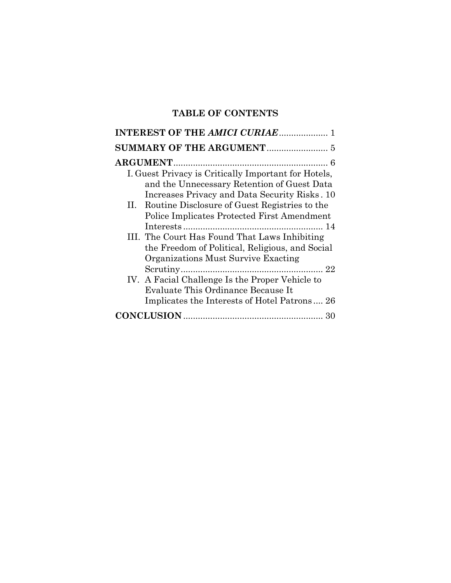# **TABLE OF CONTENTS**

| <b>INTEREST OF THE AMICI CURIAE 1</b>                |
|------------------------------------------------------|
|                                                      |
|                                                      |
| I. Guest Privacy is Critically Important for Hotels, |
| and the Unnecessary Retention of Guest Data          |
| Increases Privacy and Data Security Risks. 10        |
| II. Routine Disclosure of Guest Registries to the    |
| Police Implicates Protected First Amendment          |
|                                                      |
| III. The Court Has Found That Laws Inhibiting        |
| the Freedom of Political, Religious, and Social      |
| Organizations Must Survive Exacting                  |
|                                                      |
| IV. A Facial Challenge Is the Proper Vehicle to      |
| Evaluate This Ordinance Because It                   |
| Implicates the Interests of Hotel Patrons 26         |
| 30                                                   |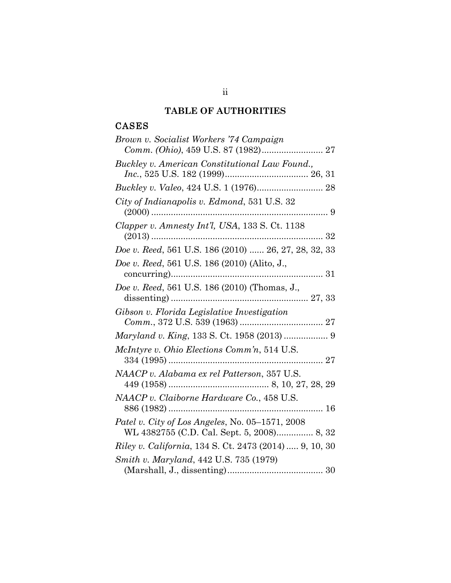# **TABLE OF AUTHORITIES**

# CASES

| Brown v. Socialist Workers '74 Campaign                                                       |
|-----------------------------------------------------------------------------------------------|
|                                                                                               |
| Buckley v. American Constitutional Law Found.,                                                |
|                                                                                               |
| City of Indianapolis v. Edmond, 531 U.S. 32                                                   |
| Clapper v. Amnesty Int'l, USA, 133 S. Ct. 1138                                                |
| Doe v. Reed, 561 U.S. 186 (2010)  26, 27, 28, 32, 33                                          |
| Doe v. Reed, 561 U.S. 186 (2010) (Alito, J.,                                                  |
| Doe v. Reed, 561 U.S. 186 (2010) (Thomas, J.,                                                 |
| Gibson v. Florida Legislative Investigation                                                   |
| Maryland v. King, 133 S. Ct. 1958 (2013)  9                                                   |
| McIntyre v. Ohio Elections Comm'n, 514 U.S.                                                   |
| NAACP v. Alabama ex rel Patterson, 357 U.S.                                                   |
| NAACP v. Claiborne Hardware Co., 458 U.S.                                                     |
| Patel v. City of Los Angeles, No. 05–1571, 2008<br>WL 4382755 (C.D. Cal. Sept. 5, 2008) 8, 32 |
| <i>Riley v. California</i> , 134 S. Ct. 2473 (2014)  9, 10, 30                                |
| Smith v. Maryland, 442 U.S. 735 (1979)                                                        |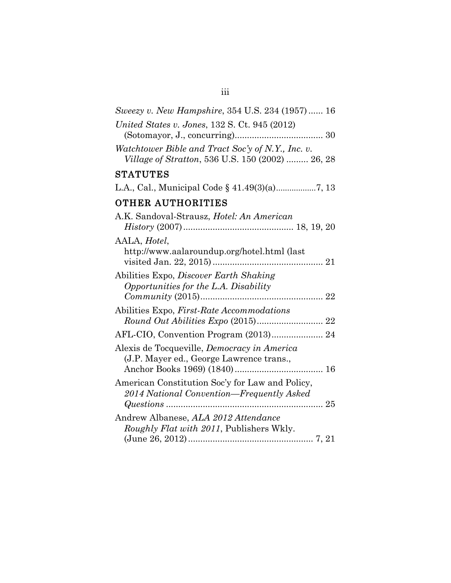| Sweezy v. New Hampshire, 354 U.S. 234 (1957) 16                                                       |
|-------------------------------------------------------------------------------------------------------|
| United States v. Jones, 132 S. Ct. 945 (2012)                                                         |
| Watchtower Bible and Tract Soc'y of N.Y., Inc. v.<br>Village of Stratton, 536 U.S. 150 (2002)  26, 28 |
| <b>STATUTES</b>                                                                                       |
|                                                                                                       |
| OTHER AUTHORITIES                                                                                     |
| A.K. Sandoval-Strausz, Hotel: An American                                                             |
| AALA, Hotel,<br>http://www.aalaroundup.org/hotel.html (last                                           |
| Abilities Expo, Discover Earth Shaking<br>Opportunities for the L.A. Disability                       |
| Abilities Expo, <i>First-Rate Accommodations</i>                                                      |
| AFL-CIO, Convention Program (2013) 24                                                                 |
| Alexis de Tocqueville, Democracy in America<br>(J.P. Mayer ed., George Lawrence trans.,               |
| American Constitution Soc'y for Law and Policy,<br>2014 National Convention—Frequently Asked          |
| Andrew Albanese, ALA 2012 Attendance<br>Roughly Flat with 2011, Publishers Wkly.                      |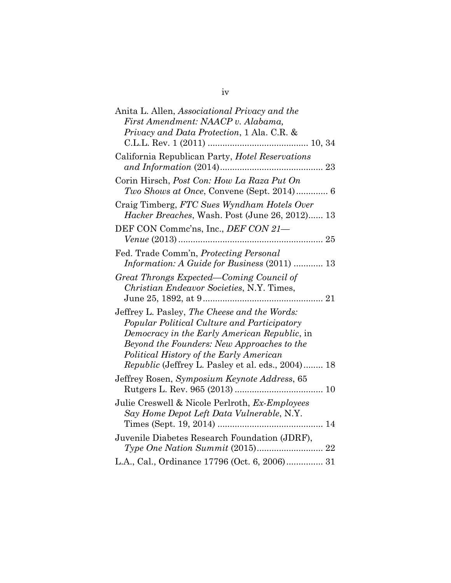| Anita L. Allen, Associational Privacy and the<br>First Amendment: NAACP v. Alabama,<br><i>Privacy and Data Protection,</i> 1 Ala. C.R. &                                                                                                                                                         |
|--------------------------------------------------------------------------------------------------------------------------------------------------------------------------------------------------------------------------------------------------------------------------------------------------|
| California Republican Party, Hotel Reservations                                                                                                                                                                                                                                                  |
| Corin Hirsch, <i>Post Con: How La Raza Put On</i><br>Two Shows at Once, Convene (Sept. 2014) 6                                                                                                                                                                                                   |
| Craig Timberg, FTC Sues Wyndham Hotels Over<br>Hacker Breaches, Wash. Post (June 26, 2012) 13                                                                                                                                                                                                    |
| DEF CON Commc'ns, Inc., DEF CON 21-                                                                                                                                                                                                                                                              |
| Fed. Trade Comm'n, Protecting Personal<br><i>Information: A Guide for Business (2011)  13</i>                                                                                                                                                                                                    |
| Great Throngs Expected—Coming Council of<br>Christian Endeavor Societies, N.Y. Times,                                                                                                                                                                                                            |
| Jeffrey L. Pasley, The Cheese and the Words:<br>Popular Political Culture and Participatory<br>Democracy in the Early American Republic, in<br>Beyond the Founders: New Approaches to the<br>Political History of the Early American<br><i>Republic</i> (Jeffrey L. Pasley et al. eds., 2004) 18 |
| Jeffrey Rosen, Symposium Keynote Address, 65                                                                                                                                                                                                                                                     |
| Julie Creswell & Nicole Perlroth, Ex-Employees<br>Say Home Depot Left Data Vulnerable, N.Y.                                                                                                                                                                                                      |
| Juvenile Diabetes Research Foundation (JDRF),                                                                                                                                                                                                                                                    |
| L.A., Cal., Ordinance 17796 (Oct. 6, 2006) 31                                                                                                                                                                                                                                                    |

iv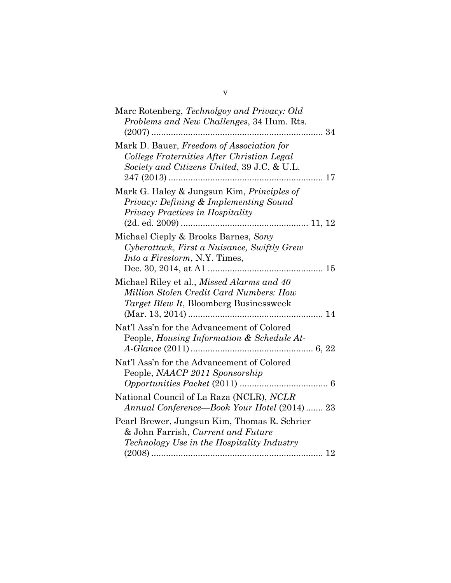| Marc Rotenberg, Technolgoy and Privacy: Old<br>Problems and New Challenges, 34 Hum. Rts.                                               |  |
|----------------------------------------------------------------------------------------------------------------------------------------|--|
| Mark D. Bauer, Freedom of Association for<br>College Fraternities After Christian Legal<br>Society and Citizens United, 39 J.C. & U.L. |  |
| Mark G. Haley & Jungsun Kim, Principles of<br>Privacy: Defining & Implementing Sound<br>Privacy Practices in Hospitality               |  |
| Michael Cieply & Brooks Barnes, Sony<br>Cyberattack, First a Nuisance, Swiftly Grew<br><i>Into a Firestorm, N.Y. Times,</i>            |  |
| Michael Riley et al., Missed Alarms and 40<br>Million Stolen Credit Card Numbers: How<br>Target Blew It, Bloomberg Businessweek        |  |
| Nat'l Ass'n for the Advancement of Colored<br>People, Housing Information & Schedule At-                                               |  |
| Nat'l Ass'n for the Advancement of Colored<br>People, NAACP 2011 Sponsorship                                                           |  |
| National Council of La Raza (NCLR), NCLR<br>Annual Conference—Book Your Hotel (2014) 23                                                |  |
| Pearl Brewer, Jungsun Kim, Thomas R. Schrier<br>& John Farrish, Current and Future<br>Technology Use in the Hospitality Industry       |  |
|                                                                                                                                        |  |

v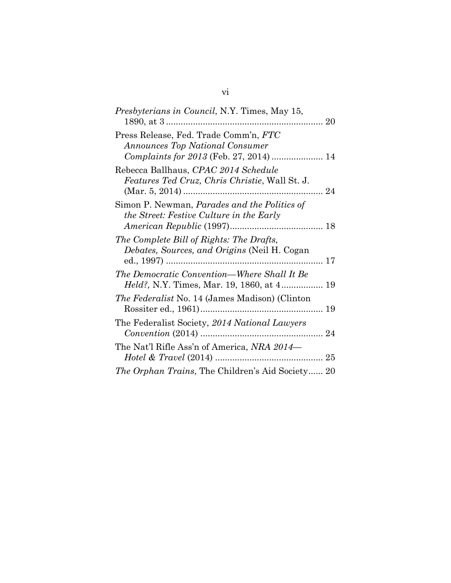| <i>Presbyterians in Council, N.Y. Times, May 15,</i>                                                |  |
|-----------------------------------------------------------------------------------------------------|--|
| Press Release, Fed. Trade Comm'n, FTC<br><b>Announces Top National Consumer</b>                     |  |
| Rebecca Ballhaus, CPAC 2014 Schedule<br><i>Features Ted Cruz, Chris Christie, Wall St. J.</i><br>24 |  |
| Simon P. Newman, <i>Parades and the Politics of</i><br>the Street: Festive Culture in the Early     |  |
| The Complete Bill of Rights: The Drafts,<br>Debates, Sources, and Origins (Neil H. Cogan            |  |
| The Democratic Convention—Where Shall It Be                                                         |  |
| <i>The Federalist</i> No. 14 (James Madison) (Clinton                                               |  |
| The Federalist Society, 2014 National Lawyers                                                       |  |
| The Nat'l Rifle Ass'n of America, NRA 2014-                                                         |  |
| <i>The Orphan Trains</i> , The Children's Aid Society 20                                            |  |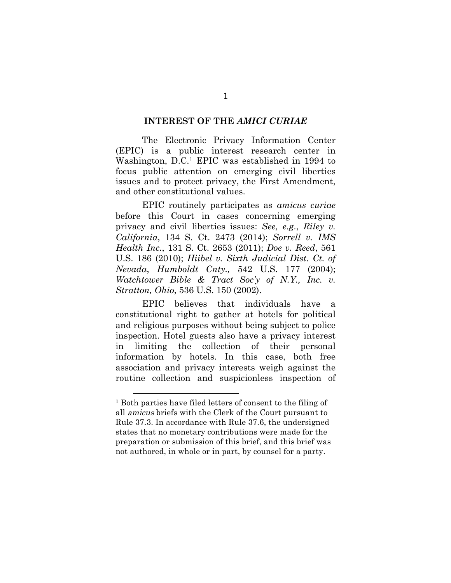#### **INTEREST OF THE** *AMICI CURIAE*

The Electronic Privacy Information Center (EPIC) is a public interest research center in Washington, D.C.1 EPIC was established in 1994 to focus public attention on emerging civil liberties issues and to protect privacy, the First Amendment, and other constitutional values.

EPIC routinely participates as *amicus curiae* before this Court in cases concerning emerging privacy and civil liberties issues: *See, e.g*., *Riley v. California*, 134 S. Ct. 2473 (2014); *Sorrell v. IMS Health Inc.*, 131 S. Ct. 2653 (2011); *Doe v. Reed*, 561 U.S. 186 (2010); *Hiibel v. Sixth Judicial Dist. Ct. of Nevada*, *Humboldt Cnty.,* 542 U.S. 177 (2004); *Watchtower Bible & Tract Soc'y of N.Y., Inc. v. Stratton, Ohio*, 536 U.S. 150 (2002).

EPIC believes that individuals have a constitutional right to gather at hotels for political and religious purposes without being subject to police inspection. Hotel guests also have a privacy interest in limiting the collection of their personal information by hotels. In this case, both free association and privacy interests weigh against the routine collection and suspicionless inspection of

<sup>1</sup> Both parties have filed letters of consent to the filing of all amicus briefs with the Clerk of the Court pursuant to Rule 37.3. In accordance with Rule 37.6, the undersigned states that no monetary contributions were made for the preparation or submission of this brief, and this brief was not authored, in whole or in part, by counsel for a party.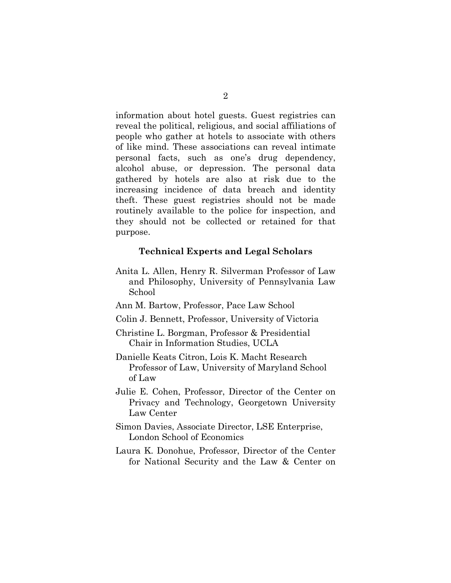information about hotel guests. Guest registries can reveal the political, religious, and social affiliations of people who gather at hotels to associate with others of like mind. These associations can reveal intimate personal facts, such as one's drug dependency, alcohol abuse, or depression. The personal data gathered by hotels are also at risk due to the increasing incidence of data breach and identity theft. These guest registries should not be made routinely available to the police for inspection, and they should not be collected or retained for that purpose.

#### **Technical Experts and Legal Scholars**

- Anita L. Allen, Henry R. Silverman Professor of Law and Philosophy, University of Pennsylvania Law School
- Ann M. Bartow, Professor, Pace Law School
- Colin J. Bennett, Professor, University of Victoria
- Christine L. Borgman, Professor & Presidential Chair in Information Studies, UCLA
- Danielle Keats Citron, Lois K. Macht Research Professor of Law, University of Maryland School of Law
- Julie E. Cohen, Professor, Director of the Center on Privacy and Technology, Georgetown University Law Center
- Simon Davies, Associate Director, LSE Enterprise, London School of Economics
- Laura K. Donohue, Professor, Director of the Center for National Security and the Law & Center on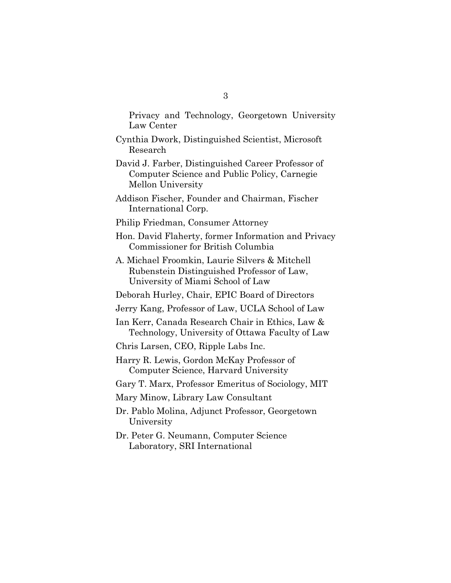Privacy and Technology, Georgetown University Law Center

- Cynthia Dwork, Distinguished Scientist, Microsoft Research
- David J. Farber, Distinguished Career Professor of Computer Science and Public Policy, Carnegie Mellon University
- Addison Fischer, Founder and Chairman, Fischer International Corp.
- Philip Friedman, Consumer Attorney
- Hon. David Flaherty, former Information and Privacy Commissioner for British Columbia
- A. Michael Froomkin, Laurie Silvers & Mitchell Rubenstein Distinguished Professor of Law, University of Miami School of Law

Deborah Hurley, Chair, EPIC Board of Directors

- Jerry Kang, Professor of Law, UCLA School of Law
- Ian Kerr, Canada Research Chair in Ethics, Law & Technology, University of Ottawa Faculty of Law
- Chris Larsen, CEO, Ripple Labs Inc.
- Harry R. Lewis, Gordon McKay Professor of Computer Science, Harvard University
- Gary T. Marx, Professor Emeritus of Sociology, MIT
- Mary Minow, Library Law Consultant
- Dr. Pablo Molina, Adjunct Professor, Georgetown University
- Dr. Peter G. Neumann, Computer Science Laboratory, SRI International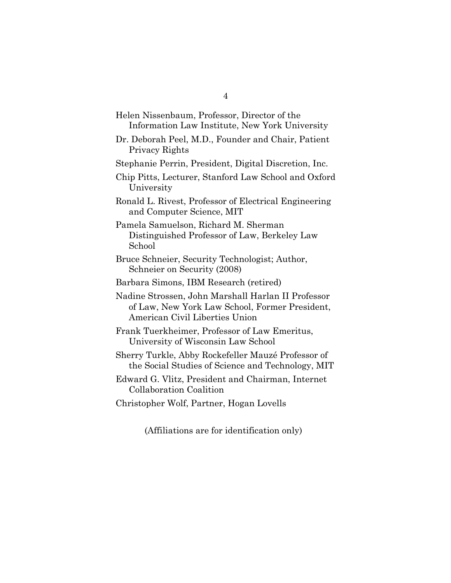| Helen Nissenbaum, Professor, Director of the                                                                                           |
|----------------------------------------------------------------------------------------------------------------------------------------|
| Information Law Institute, New York University                                                                                         |
| Dr. Deborah Peel, M.D., Founder and Chair, Patient<br>Privacy Rights                                                                   |
| Stephanie Perrin, President, Digital Discretion, Inc.                                                                                  |
| Chip Pitts, Lecturer, Stanford Law School and Oxford<br>University                                                                     |
| Ronald L. Rivest, Professor of Electrical Engineering<br>and Computer Science, MIT                                                     |
| Pamela Samuelson, Richard M. Sherman<br>Distinguished Professor of Law, Berkeley Law<br>School                                         |
| Bruce Schneier, Security Technologist; Author,<br>Schneier on Security (2008)                                                          |
| Barbara Simons, IBM Research (retired)                                                                                                 |
| Nadine Strossen, John Marshall Harlan II Professor<br>of Law, New York Law School, Former President,<br>American Civil Liberties Union |
| Frank Tuerkheimer, Professor of Law Emeritus,<br>University of Wisconsin Law School                                                    |
| Sherry Turkle, Abby Rockefeller Mauzé Professor of<br>the Social Studies of Science and Technology, MIT                                |
| Edward G. Vlitz, President and Chairman, Internet<br>Collaboration Coalition                                                           |
| Christopher Wolf, Partner, Hogan Lovells                                                                                               |

(Affiliations are for identification only)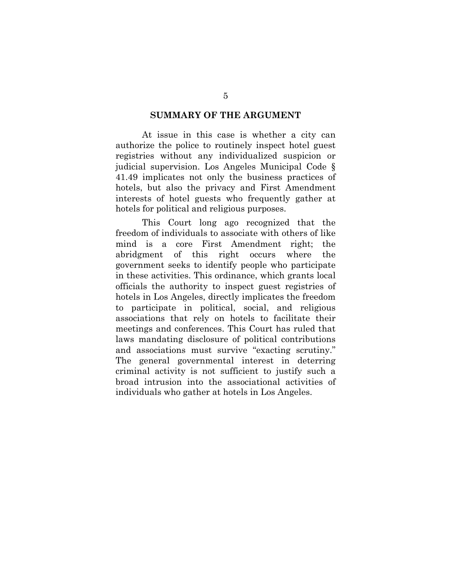#### **SUMMARY OF THE ARGUMENT**

At issue in this case is whether a city can authorize the police to routinely inspect hotel guest registries without any individualized suspicion or judicial supervision. Los Angeles Municipal Code § 41.49 implicates not only the business practices of hotels, but also the privacy and First Amendment interests of hotel guests who frequently gather at hotels for political and religious purposes.

This Court long ago recognized that the freedom of individuals to associate with others of like mind is a core First Amendment right; the abridgment of this right occurs where the government seeks to identify people who participate in these activities. This ordinance, which grants local officials the authority to inspect guest registries of hotels in Los Angeles, directly implicates the freedom to participate in political, social, and religious associations that rely on hotels to facilitate their meetings and conferences. This Court has ruled that laws mandating disclosure of political contributions and associations must survive "exacting scrutiny." The general governmental interest in deterring criminal activity is not sufficient to justify such a broad intrusion into the associational activities of individuals who gather at hotels in Los Angeles.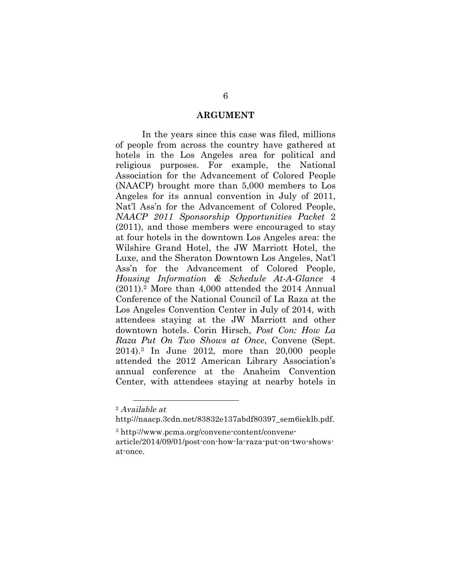#### **ARGUMENT**

In the years since this case was filed, millions of people from across the country have gathered at hotels in the Los Angeles area for political and religious purposes. For example, the National Association for the Advancement of Colored People (NAACP) brought more than 5,000 members to Los Angeles for its annual convention in July of 2011, Nat'l Ass'n for the Advancement of Colored People, *NAACP 2011 Sponsorship Opportunities Packet* 2 (2011), and those members were encouraged to stay at four hotels in the downtown Los Angeles area: the Wilshire Grand Hotel, the JW Marriott Hotel, the Luxe, and the Sheraton Downtown Los Angeles, Nat'l Ass'n for the Advancement of Colored People, *Housing Information & Schedule At-A-Glance* 4 (2011).2 More than 4,000 attended the 2014 Annual Conference of the National Council of La Raza at the Los Angeles Convention Center in July of 2014, with attendees staying at the JW Marriott and other downtown hotels. Corin Hirsch, *Post Con: How La Raza Put On Two Shows at Once*, Convene (Sept. 2014).3 In June 2012, more than 20,000 people attended the 2012 American Library Association's annual conference at the Anaheim Convention Center, with attendees staying at nearby hotels in

 $2$  Available at

http://naacp.3cdn.net/83832e137abdf80397\_sem6ieklb.pdf.

<sup>3</sup> http://www.pcma.org/convene-content/convenearticle/2014/09/01/post-con-how-la-raza-put-on-two-showsat-once.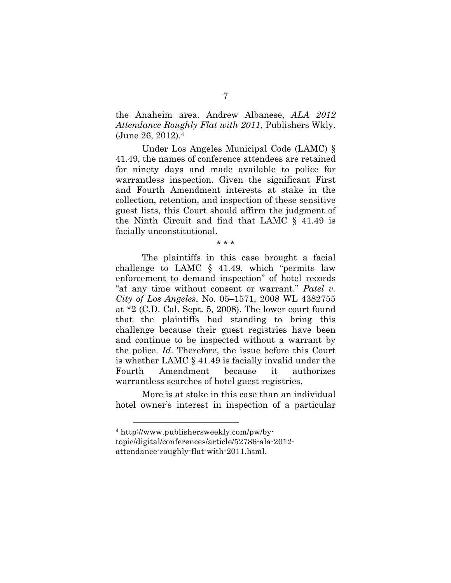the Anaheim area. Andrew Albanese, *ALA 2012 Attendance Roughly Flat with 2011*, Publishers Wkly. (June 26, 2012).4

Under Los Angeles Municipal Code (LAMC) § 41.49, the names of conference attendees are retained for ninety days and made available to police for warrantless inspection. Given the significant First and Fourth Amendment interests at stake in the collection, retention, and inspection of these sensitive guest lists, this Court should affirm the judgment of the Ninth Circuit and find that LAMC § 41.49 is facially unconstitutional.

\* \* \*

The plaintiffs in this case brought a facial challenge to LAMC § 41.49, which "permits law enforcement to demand inspection" of hotel records "at any time without consent or warrant." *Patel v. City of Los Angeles*, No. 05–1571, 2008 WL 4382755 at \*2 (C.D. Cal. Sept. 5, 2008). The lower court found that the plaintiffs had standing to bring this challenge because their guest registries have been and continue to be inspected without a warrant by the police. *Id*. Therefore, the issue before this Court is whether LAMC § 41.49 is facially invalid under the Fourth Amendment because it authorizes warrantless searches of hotel guest registries.

More is at stake in this case than an individual hotel owner's interest in inspection of a particular

<sup>4</sup> http://www.publishersweekly.com/pw/bytopic/digital/conferences/article/52786-ala-2012 attendance-roughly-flat-with-2011.html.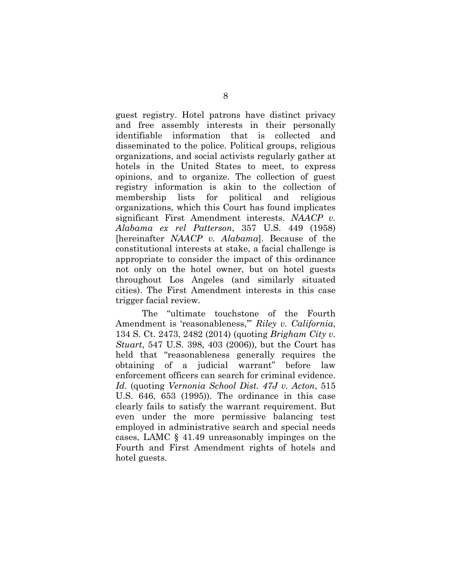guest registry. Hotel patrons have distinct privacy and free assembly interests in their personally identifiable information that is collected and disseminated to the police. Political groups, religious organizations, and social activists regularly gather at hotels in the United States to meet, to express opinions, and to organize. The collection of guest registry information is akin to the collection of membership lists for political and religious organizations, which this Court has found implicates significant First Amendment interests. *NAACP v. Alabama ex rel Patterson*, 357 U.S. 449 (1958) [hereinafter *NAACP v. Alabama*]. Because of the constitutional interests at stake, a facial challenge is appropriate to consider the impact of this ordinance not only on the hotel owner, but on hotel guests throughout Los Angeles (and similarly situated cities). The First Amendment interests in this case trigger facial review.

The "ultimate touchstone of the Fourth Amendment is 'reasonableness,'" *Riley v. California*, 134 S. Ct. 2473, 2482 (2014) (quoting *Brigham City v. Stuart*, 547 U.S. 398, 403 (2006)), but the Court has held that "reasonableness generally requires the obtaining of a judicial warrant" before law enforcement officers can search for criminal evidence. *Id*. (quoting *Vernonia School Dist. 47J v. Acton*, 515 U.S. 646, 653 (1995)). The ordinance in this case clearly fails to satisfy the warrant requirement. But even under the more permissive balancing test employed in administrative search and special needs cases, LAMC § 41.49 unreasonably impinges on the Fourth and First Amendment rights of hotels and hotel guests.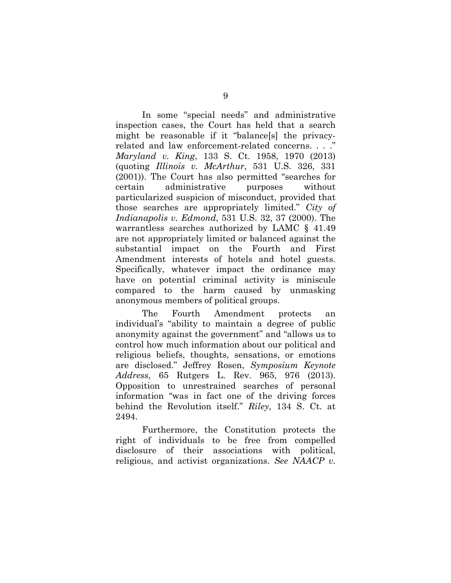In some "special needs" and administrative inspection cases, the Court has held that a search might be reasonable if it "balance[s] the privacyrelated and law enforcement-related concerns. . . ." *Maryland v. King*, 133 S. Ct. 1958, 1970 (2013) (quoting *Illinois v. McArthur*, 531 U.S. 326, 331 (2001)). The Court has also permitted "searches for certain administrative purposes without particularized suspicion of misconduct, provided that those searches are appropriately limited." *City of Indianapolis v. Edmond*, 531 U.S. 32, 37 (2000). The warrantless searches authorized by LAMC § 41.49 are not appropriately limited or balanced against the substantial impact on the Fourth and First Amendment interests of hotels and hotel guests. Specifically, whatever impact the ordinance may have on potential criminal activity is miniscule compared to the harm caused by unmasking anonymous members of political groups.

The Fourth Amendment protects an individual's "ability to maintain a degree of public anonymity against the government" and "allows us to control how much information about our political and religious beliefs, thoughts, sensations, or emotions are disclosed." Jeffrey Rosen, *Symposium Keynote Address*, 65 Rutgers L. Rev. 965, 976 (2013). Opposition to unrestrained searches of personal information "was in fact one of the driving forces behind the Revolution itself." *Riley*, 134 S. Ct. at 2494.

Furthermore, the Constitution protects the right of individuals to be free from compelled disclosure of their associations with political, religious, and activist organizations. *See NAACP v.*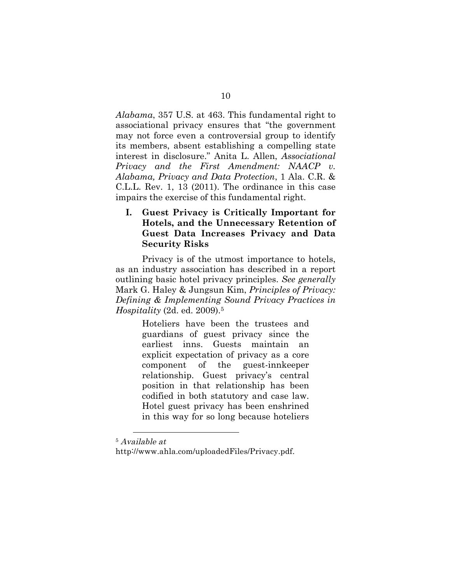*Alabama*, 357 U.S. at 463. This fundamental right to associational privacy ensures that "the government may not force even a controversial group to identify its members, absent establishing a compelling state interest in disclosure." Anita L. Allen, *Associational Privacy and the First Amendment: NAACP v. Alabama, Privacy and Data Protection*, 1 Ala. C.R. & C.L.L. Rev. 1, 13 (2011). The ordinance in this case impairs the exercise of this fundamental right.

# **I. Guest Privacy is Critically Important for Hotels, and the Unnecessary Retention of Guest Data Increases Privacy and Data Security Risks**

Privacy is of the utmost importance to hotels, as an industry association has described in a report outlining basic hotel privacy principles. *See generally*  Mark G. Haley & Jungsun Kim, *Principles of Privacy: Defining & Implementing Sound Privacy Practices in Hospitality* (2d. ed. 2009).5

> Hoteliers have been the trustees and guardians of guest privacy since the earliest inns. Guests maintain an explicit expectation of privacy as a core component of the guest-innkeeper relationship. Guest privacy's central position in that relationship has been codified in both statutory and case law. Hotel guest privacy has been enshrined in this way for so long because hoteliers

<sup>5</sup> Available at

http://www.ahla.com/uploadedFiles/Privacy.pdf.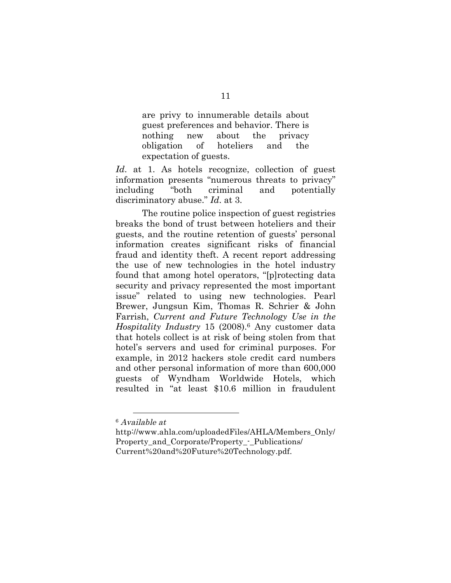are privy to innumerable details about guest preferences and behavior. There is nothing new about the privacy obligation of hoteliers and the expectation of guests.

Id. at 1. As hotels recognize, collection of guest information presents "numerous threats to privacy" including "both criminal and potentially discriminatory abuse." *Id*. at 3.

The routine police inspection of guest registries breaks the bond of trust between hoteliers and their guests, and the routine retention of guests' personal information creates significant risks of financial fraud and identity theft. A recent report addressing the use of new technologies in the hotel industry found that among hotel operators, "[p]rotecting data security and privacy represented the most important issue" related to using new technologies. Pearl Brewer, Jungsun Kim, Thomas R. Schrier & John Farrish, *Current and Future Technology Use in the Hospitality Industry* 15 (2008).6 Any customer data that hotels collect is at risk of being stolen from that hotel's servers and used for criminal purposes. For example, in 2012 hackers stole credit card numbers and other personal information of more than 600,000 guests of Wyndham Worldwide Hotels, which resulted in "at least \$10.6 million in fraudulent

<sup>6</sup> Available at

http://www.ahla.com/uploadedFiles/AHLA/Members\_Only/ Property and Corporate/Property - Publications/ Current%20and%20Future%20Technology.pdf.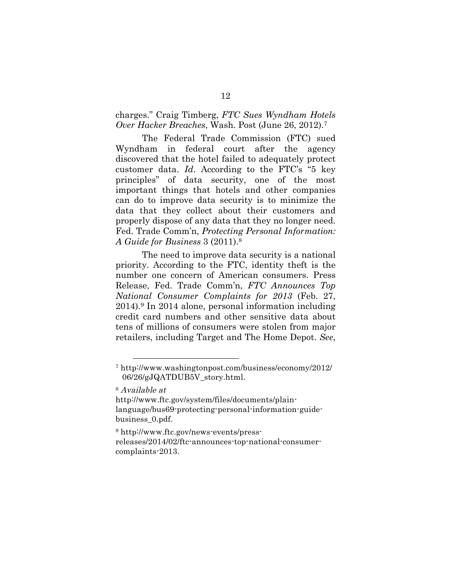charges." Craig Timberg, *FTC Sues Wyndham Hotels Over Hacker Breaches*, Wash. Post (June 26, 2012).7

The Federal Trade Commission (FTC) sued Wyndham in federal court after the agency discovered that the hotel failed to adequately protect customer data. *Id*. According to the FTC's "5 key principles" of data security, one of the most important things that hotels and other companies can do to improve data security is to minimize the data that they collect about their customers and properly dispose of any data that they no longer need. Fed. Trade Comm'n, *Protecting Personal Information: A Guide for Business* 3 (2011).8

The need to improve data security is a national priority. According to the FTC, identity theft is the number one concern of American consumers. Press Release, Fed. Trade Comm'n, *FTC Announces Top National Consumer Complaints for 2013* (Feb. 27, 2014).9 In 2014 alone, personal information including credit card numbers and other sensitive data about tens of millions of consumers were stolen from major retailers, including Target and The Home Depot. *See*,

8 Available at

 $\overline{a}$ 

http://www.ftc.gov/system/files/documents/plainlanguage/bus69-protecting-personal-information-guidebusiness\_0.pdf.

<sup>9</sup> http://www.ftc.gov/news-events/pressreleases/2014/02/ftc-announces-top-national-consumercomplaints-2013.

<sup>7</sup> http://www.washingtonpost.com/business/economy/2012/ 06/26/gJQATDUB5V\_story.html.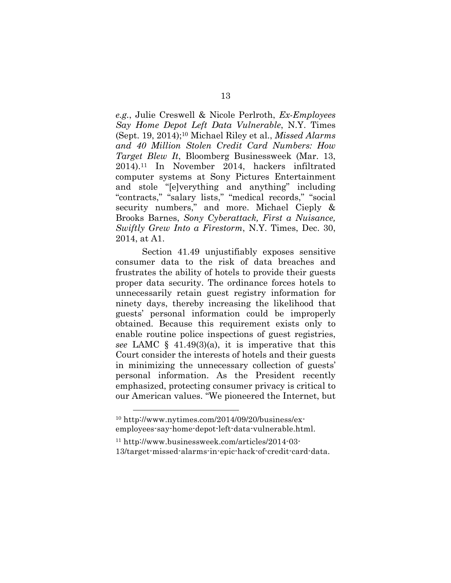*e.g.*, Julie Creswell & Nicole Perlroth, *Ex-Employees Say Home Depot Left Data Vulnerable*, N.Y. Times (Sept. 19, 2014);10 Michael Riley et al., *Missed Alarms and 40 Million Stolen Credit Card Numbers: How Target Blew It*, Bloomberg Businessweek (Mar. 13, 2014).11 In November 2014, hackers infiltrated computer systems at Sony Pictures Entertainment and stole "[e]verything and anything" including "contracts," "salary lists," "medical records," "social security numbers," and more. Michael Cieply & Brooks Barnes, *Sony Cyberattack, First a Nuisance, Swiftly Grew Into a Firestorm*, N.Y. Times, Dec. 30, 2014, at A1.

Section 41.49 unjustifiably exposes sensitive consumer data to the risk of data breaches and frustrates the ability of hotels to provide their guests proper data security. The ordinance forces hotels to unnecessarily retain guest registry information for ninety days, thereby increasing the likelihood that guests' personal information could be improperly obtained. Because this requirement exists only to enable routine police inspections of guest registries, *see* LAMC § 41.49(3)(a), it is imperative that this Court consider the interests of hotels and their guests in minimizing the unnecessary collection of guests' personal information. As the President recently emphasized, protecting consumer privacy is critical to our American values. "We pioneered the Internet, but

<sup>10</sup> http://www.nytimes.com/2014/09/20/business/exemployees-say-home-depot-left-data-vulnerable.html.

<sup>11</sup> http://www.businessweek.com/articles/2014-03- 13/target-missed-alarms-in-epic-hack-of-credit-card-data.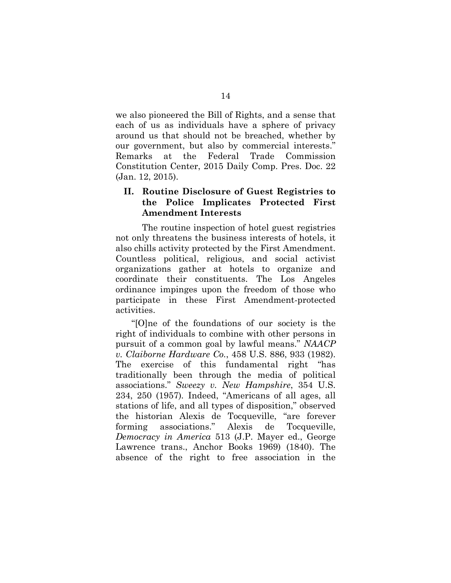we also pioneered the Bill of Rights, and a sense that each of us as individuals have a sphere of privacy around us that should not be breached, whether by our government, but also by commercial interests." Remarks at the Federal Trade Commission Constitution Center, 2015 Daily Comp. Pres. Doc. 22 (Jan. 12, 2015).

### **II. Routine Disclosure of Guest Registries to the Police Implicates Protected First Amendment Interests**

The routine inspection of hotel guest registries not only threatens the business interests of hotels, it also chills activity protected by the First Amendment. Countless political, religious, and social activist organizations gather at hotels to organize and coordinate their constituents. The Los Angeles ordinance impinges upon the freedom of those who participate in these First Amendment-protected activities.

"[O]ne of the foundations of our society is the right of individuals to combine with other persons in pursuit of a common goal by lawful means." *NAACP v. Claiborne Hardware Co.*, 458 U.S. 886, 933 (1982). The exercise of this fundamental right "has traditionally been through the media of political associations." *Sweezy v. New Hampshire*, 354 U.S. 234, 250 (1957)*.* Indeed, "Americans of all ages, all stations of life, and all types of disposition," observed the historian Alexis de Tocqueville, "are forever forming associations." Alexis de Tocqueville, *Democracy in America* 513 (J.P. Mayer ed., George Lawrence trans., Anchor Books 1969) (1840). The absence of the right to free association in the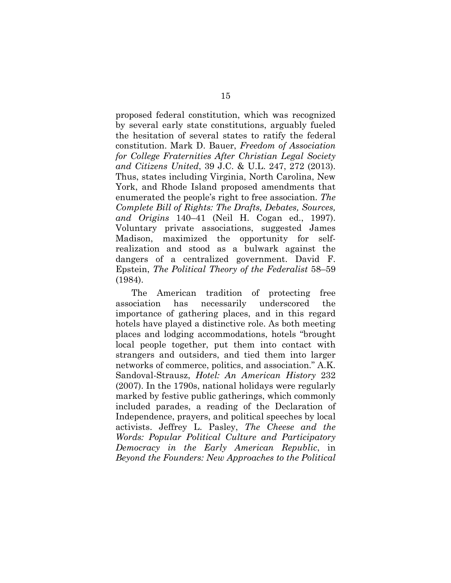proposed federal constitution, which was recognized by several early state constitutions, arguably fueled the hesitation of several states to ratify the federal constitution. Mark D. Bauer, *Freedom of Association for College Fraternities After Christian Legal Society and Citizens United*, 39 J.C. & U.L. 247, 272 (2013). Thus, states including Virginia, North Carolina, New York, and Rhode Island proposed amendments that enumerated the people's right to free association. *The Complete Bill of Rights: The Drafts, Debates, Sources, and Origins* 140–41 (Neil H. Cogan ed., 1997). Voluntary private associations, suggested James Madison, maximized the opportunity for selfrealization and stood as a bulwark against the dangers of a centralized government. David F. Epstein, *The Political Theory of the Federalist* 58–59 (1984).

The American tradition of protecting free association has necessarily underscored the importance of gathering places, and in this regard hotels have played a distinctive role. As both meeting places and lodging accommodations, hotels "brought local people together, put them into contact with strangers and outsiders, and tied them into larger networks of commerce, politics, and association." A.K. Sandoval-Strausz, *Hotel: An American History* 232 (2007). In the 1790s, national holidays were regularly marked by festive public gatherings, which commonly included parades, a reading of the Declaration of Independence, prayers, and political speeches by local activists. Jeffrey L. Pasley, *The Cheese and the Words: Popular Political Culture and Participatory Democracy in the Early American Republic*, in *Beyond the Founders: New Approaches to the Political*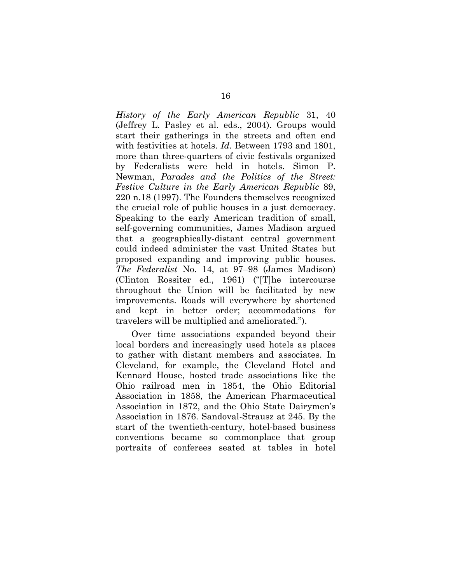*History of the Early American Republic* 31, 40 (Jeffrey L. Pasley et al. eds., 2004). Groups would start their gatherings in the streets and often end with festivities at hotels. *Id.* Between 1793 and 1801, more than three-quarters of civic festivals organized by Federalists were held in hotels. Simon P. Newman, *Parades and the Politics of the Street: Festive Culture in the Early American Republic* 89, 220 n.18 (1997). The Founders themselves recognized the crucial role of public houses in a just democracy. Speaking to the early American tradition of small, self-governing communities, James Madison argued that a geographically-distant central government could indeed administer the vast United States but proposed expanding and improving public houses. *The Federalist* No. 14, at 97–98 (James Madison) (Clinton Rossiter ed., 1961) ("[T]he intercourse throughout the Union will be facilitated by new improvements. Roads will everywhere by shortened and kept in better order; accommodations for travelers will be multiplied and ameliorated.").

Over time associations expanded beyond their local borders and increasingly used hotels as places to gather with distant members and associates. In Cleveland, for example, the Cleveland Hotel and Kennard House, hosted trade associations like the Ohio railroad men in 1854, the Ohio Editorial Association in 1858, the American Pharmaceutical Association in 1872, and the Ohio State Dairymen's Association in 1876. Sandoval-Strausz at 245. By the start of the twentieth-century, hotel-based business conventions became so commonplace that group portraits of conferees seated at tables in hotel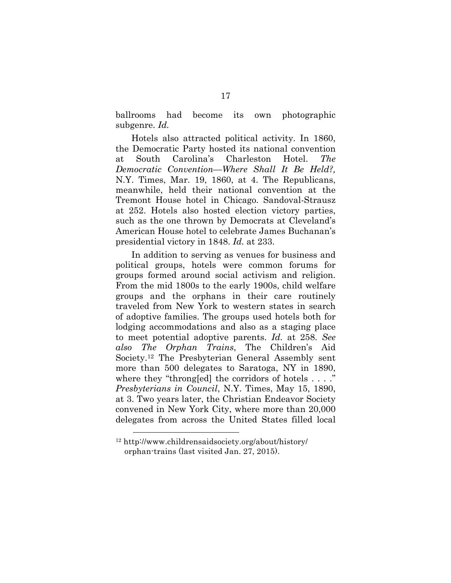ballrooms had become its own photographic subgenre. *Id.*

Hotels also attracted political activity. In 1860, the Democratic Party hosted its national convention at South Carolina's Charleston Hotel. *The Democratic Convention—Where Shall It Be Held?,*  N.Y. Times, Mar. 19, 1860, at 4. The Republicans, meanwhile, held their national convention at the Tremont House hotel in Chicago. Sandoval-Strausz at 252. Hotels also hosted election victory parties, such as the one thrown by Democrats at Cleveland's American House hotel to celebrate James Buchanan's presidential victory in 1848. *Id.* at 233.

In addition to serving as venues for business and political groups, hotels were common forums for groups formed around social activism and religion. From the mid 1800s to the early 1900s, child welfare groups and the orphans in their care routinely traveled from New York to western states in search of adoptive families. The groups used hotels both for lodging accommodations and also as a staging place to meet potential adoptive parents. *Id.* at 258. *See also The Orphan Trains*, The Children's Aid Society.12 The Presbyterian General Assembly sent more than 500 delegates to Saratoga, NY in 1890, where they "throng[ed] the corridors of hotels . . . ." *Presbyterians in Council*, N.Y. Times, May 15, 1890, at 3. Two years later, the Christian Endeavor Society convened in New York City, where more than 20,000 delegates from across the United States filled local

<sup>12</sup> http://www.childrensaidsociety.org/about/history/ orphan-trains (last visited Jan. 27, 2015).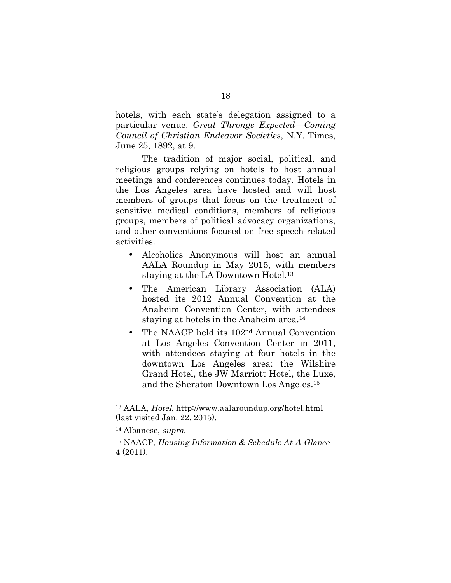hotels, with each state's delegation assigned to a particular venue. *Great Throngs Expected—Coming Council of Christian Endeavor Societies*, N.Y. Times, June 25, 1892, at 9.

The tradition of major social, political, and religious groups relying on hotels to host annual meetings and conferences continues today. Hotels in the Los Angeles area have hosted and will host members of groups that focus on the treatment of sensitive medical conditions, members of religious groups, members of political advocacy organizations, and other conventions focused on free-speech-related activities.

- Alcoholics Anonymous will host an annual AALA Roundup in May 2015, with members staying at the LA Downtown Hotel.13
- The American Library Association (ALA) hosted its 2012 Annual Convention at the Anaheim Convention Center, with attendees staying at hotels in the Anaheim area.14
- The NAACP held its 102nd Annual Convention at Los Angeles Convention Center in 2011, with attendees staying at four hotels in the downtown Los Angeles area: the Wilshire Grand Hotel, the JW Marriott Hotel, the Luxe, and the Sheraton Downtown Los Angeles.15

<sup>13</sup> AALA, Hotel, http://www.aalaroundup.org/hotel.html (last visited Jan. 22, 2015).

<sup>14</sup> Albanese, supra.

<sup>&</sup>lt;sup>15</sup> NAACP, Housing Information  $&$  Schedule At-A-Glance 4 (2011).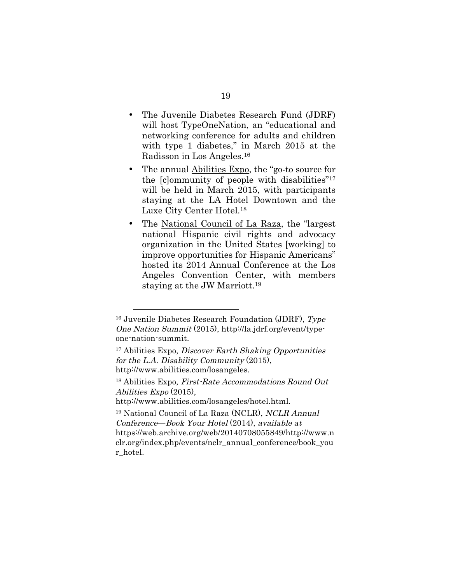- The Juvenile Diabetes Research Fund (JDRF) will host TypeOneNation, an "educational and networking conference for adults and children with type 1 diabetes," in March 2015 at the Radisson in Los Angeles.16
- The annual Abilities Expo, the "go-to source for the [c]ommunity of people with disabilities"17 will be held in March 2015, with participants staying at the LA Hotel Downtown and the Luxe City Center Hotel.18
- The National Council of La Raza, the "largest national Hispanic civil rights and advocacy organization in the United States [working] to improve opportunities for Hispanic Americans" hosted its 2014 Annual Conference at the Los Angeles Convention Center, with members staying at the JW Marriott.19

 $16$  Juvenile Diabetes Research Foundation (JDRF), Type One Nation Summit (2015), http://la.jdrf.org/event/typeone-nation-summit.

<sup>17</sup> Abilities Expo, Discover Earth Shaking Opportunities for the L.A. Disability Community (2015), http://www.abilities.com/losangeles.

<sup>18</sup> Abilities Expo, First-Rate Accommodations Round Out Abilities Expo (2015),

http://www.abilities.com/losangeles/hotel.html.

<sup>19</sup> National Council of La Raza (NCLR), NCLR Annual Conference—Book Your Hotel (2014), available at https://web.archive.org/web/20140708055849/http://www.n clr.org/index.php/events/nclr\_annual\_conference/book\_you r hotel.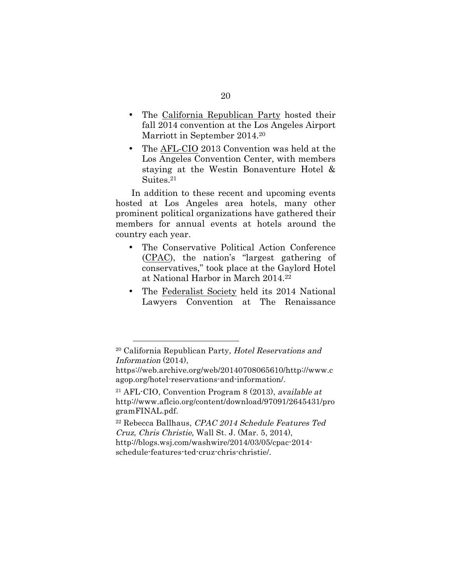- The California Republican Party hosted their fall 2014 convention at the Los Angeles Airport Marriott in September 2014.20
- The AFL-CIO 2013 Convention was held at the Los Angeles Convention Center, with members staying at the Westin Bonaventure Hotel & Suites.21

In addition to these recent and upcoming events hosted at Los Angeles area hotels, many other prominent political organizations have gathered their members for annual events at hotels around the country each year.

- The Conservative Political Action Conference (CPAC), the nation's "largest gathering of conservatives," took place at the Gaylord Hotel at National Harbor in March 2014.22
- The Federalist Society held its 2014 National Lawyers Convention at The Renaissance

<sup>20</sup> California Republican Party, Hotel Reservations and Information (2014),

https://web.archive.org/web/20140708065610/http://www.c agop.org/hotel-reservations-and-information/.

 $21$  AFL-CIO, Convention Program 8 (2013), available at http://www.aflcio.org/content/download/97091/2645431/pro gramFINAL.pdf.

<sup>22</sup> Rebecca Ballhaus, CPAC 2014 Schedule Features Ted Cruz, Chris Christie, Wall St. J. (Mar. 5, 2014), http://blogs.wsj.com/washwire/2014/03/05/cpac-2014 schedule-features-ted-cruz-chris-christie/.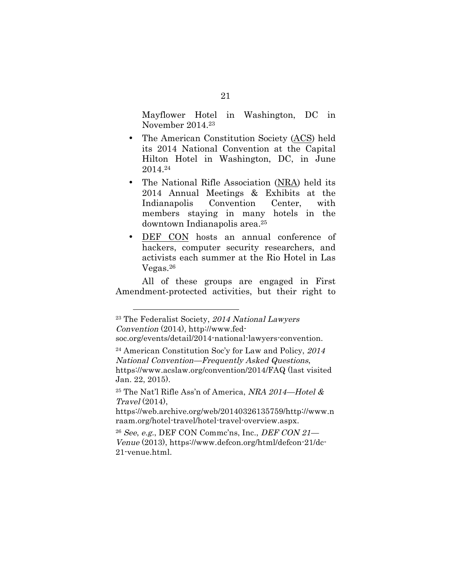Mayflower Hotel in Washington, DC in November 2014.23

- The American Constitution Society (ACS) held its 2014 National Convention at the Capital Hilton Hotel in Washington, DC, in June 2014.24
- The National Rifle Association (NRA) held its 2014 Annual Meetings & Exhibits at the Indianapolis Convention Center, with members staying in many hotels in the downtown Indianapolis area.25
- DEF CON hosts an annual conference of hackers, computer security researchers, and activists each summer at the Rio Hotel in Las Vegas.26

All of these groups are engaged in First Amendment-protected activities, but their right to

<sup>&</sup>lt;sup>23</sup> The Federalist Society, 2014 National Lawyers Convention (2014), http://www.fed-

soc.org/events/detail/2014-national-lawyers-convention.

<sup>24</sup> American Constitution Soc'y for Law and Policy, 2014 National Convention—Frequently Asked Questions, https://www.acslaw.org/convention/2014/FAQ (last visited Jan. 22, 2015).

 $^{25}$  The Nat'l Rifle Ass'n of America, NRA 2014-Hotel  $\&$ Travel (2014),

https://web.archive.org/web/20140326135759/http://www.n raam.org/hotel-travel/hotel-travel-overview.aspx.

 $26$  See, e.g., DEF CON Commc'ns, Inc., DEF CON 21— Venue (2013), https://www.defcon.org/html/defcon-21/dc-21-venue.html.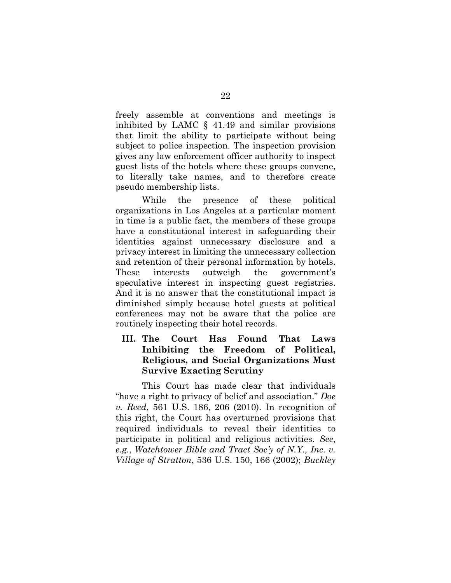freely assemble at conventions and meetings is inhibited by LAMC § 41.49 and similar provisions that limit the ability to participate without being subject to police inspection. The inspection provision gives any law enforcement officer authority to inspect guest lists of the hotels where these groups convene, to literally take names, and to therefore create pseudo membership lists.

While the presence of these political organizations in Los Angeles at a particular moment in time is a public fact, the members of these groups have a constitutional interest in safeguarding their identities against unnecessary disclosure and a privacy interest in limiting the unnecessary collection and retention of their personal information by hotels. These interests outweigh the government's speculative interest in inspecting guest registries. And it is no answer that the constitutional impact is diminished simply because hotel guests at political conferences may not be aware that the police are routinely inspecting their hotel records.

# **III. The Court Has Found That Laws Inhibiting the Freedom of Political, Religious, and Social Organizations Must Survive Exacting Scrutiny**

This Court has made clear that individuals "have a right to privacy of belief and association." *Doe v. Reed*, 561 U.S. 186, 206 (2010). In recognition of this right, the Court has overturned provisions that required individuals to reveal their identities to participate in political and religious activities. *See*, *e.g.*, *Watchtower Bible and Tract Soc'y of N.Y., Inc. v. Village of Stratton*, 536 U.S. 150, 166 (2002); *Buckley*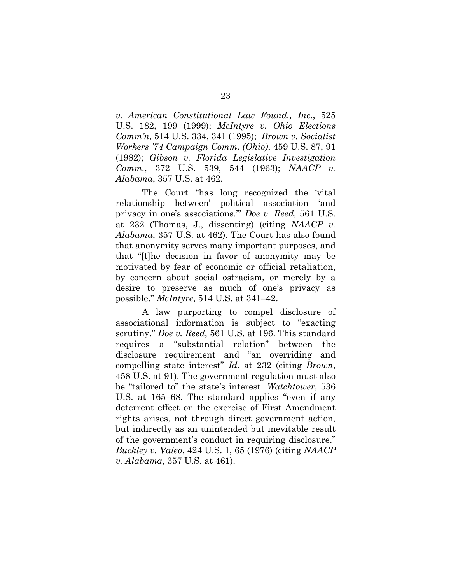*v. American Constitutional Law Found., Inc.*, 525 U.S. 182, 199 (1999); *McIntyre v. Ohio Elections Comm'n*, 514 U.S. 334, 341 (1995); *Brown v. Socialist Workers '74 Campaign Comm. (Ohio)*, 459 U.S. 87, 91 (1982); *Gibson v. Florida Legislative Investigation Comm.*, 372 U.S. 539, 544 (1963); *NAACP v. Alabama*, 357 U.S. at 462.

The Court "has long recognized the 'vital relationship between' political association 'and privacy in one's associations.'" *Doe v. Reed*, 561 U.S. at 232 (Thomas, J., dissenting) (citing *NAACP v. Alabama*, 357 U.S. at 462). The Court has also found that anonymity serves many important purposes, and that "[t]he decision in favor of anonymity may be motivated by fear of economic or official retaliation, by concern about social ostracism, or merely by a desire to preserve as much of one's privacy as possible." *McIntyre*, 514 U.S. at 341–42.

A law purporting to compel disclosure of associational information is subject to "exacting scrutiny." *Doe v. Reed*, 561 U.S. at 196. This standard requires a "substantial relation" between the disclosure requirement and "an overriding and compelling state interest" *Id*. at 232 (citing *Brown*, 458 U.S. at 91). The government regulation must also be "tailored to" the state's interest. *Watchtower*, 536 U.S. at 165–68. The standard applies "even if any deterrent effect on the exercise of First Amendment rights arises, not through direct government action, but indirectly as an unintended but inevitable result of the government's conduct in requiring disclosure." *Buckley v. Valeo*, 424 U.S. 1, 65 (1976) (citing *NAACP v. Alabama*, 357 U.S. at 461).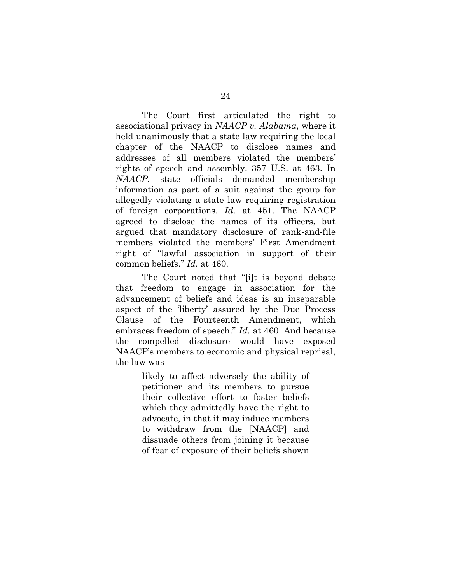The Court first articulated the right to associational privacy in *NAACP v. Alabama*, where it held unanimously that a state law requiring the local chapter of the NAACP to disclose names and addresses of all members violated the members' rights of speech and assembly. 357 U.S. at 463. In *NAACP*, state officials demanded membership information as part of a suit against the group for allegedly violating a state law requiring registration of foreign corporations. *Id.* at 451. The NAACP agreed to disclose the names of its officers, but argued that mandatory disclosure of rank-and-file members violated the members' First Amendment right of "lawful association in support of their common beliefs." *Id.* at 460.

The Court noted that "[i]t is beyond debate that freedom to engage in association for the advancement of beliefs and ideas is an inseparable aspect of the 'liberty' assured by the Due Process Clause of the Fourteenth Amendment, which embraces freedom of speech." *Id.* at 460. And because the compelled disclosure would have exposed NAACP's members to economic and physical reprisal, the law was

> likely to affect adversely the ability of petitioner and its members to pursue their collective effort to foster beliefs which they admittedly have the right to advocate, in that it may induce members to withdraw from the [NAACP] and dissuade others from joining it because of fear of exposure of their beliefs shown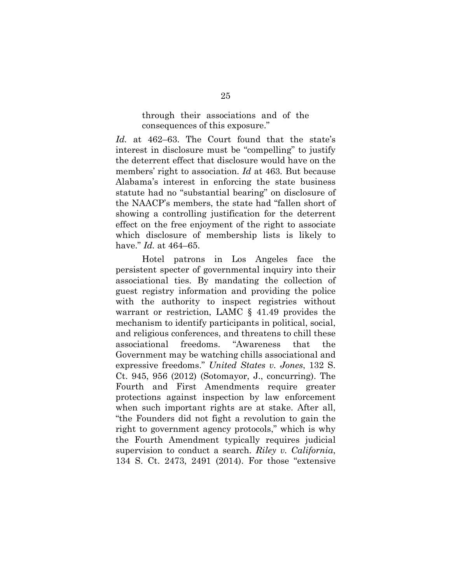through their associations and of the consequences of this exposure."

*Id.* at 462–63. The Court found that the state's interest in disclosure must be "compelling" to justify the deterrent effect that disclosure would have on the members' right to association. *Id* at 463. But because Alabama's interest in enforcing the state business statute had no "substantial bearing" on disclosure of the NAACP's members, the state had "fallen short of showing a controlling justification for the deterrent effect on the free enjoyment of the right to associate which disclosure of membership lists is likely to have." *Id.* at 464–65.

Hotel patrons in Los Angeles face the persistent specter of governmental inquiry into their associational ties. By mandating the collection of guest registry information and providing the police with the authority to inspect registries without warrant or restriction, LAMC § 41.49 provides the mechanism to identify participants in political, social, and religious conferences, and threatens to chill these associational freedoms. "Awareness that the Government may be watching chills associational and expressive freedoms." *United States v. Jones*, 132 S. Ct. 945, 956 (2012) (Sotomayor, J., concurring). The Fourth and First Amendments require greater protections against inspection by law enforcement when such important rights are at stake. After all, "the Founders did not fight a revolution to gain the right to government agency protocols," which is why the Fourth Amendment typically requires judicial supervision to conduct a search. *Riley v. California*, 134 S. Ct. 2473, 2491 (2014). For those "extensive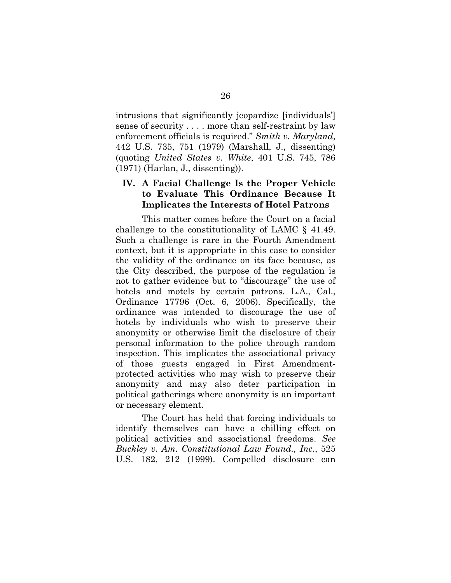intrusions that significantly jeopardize [individuals'] sense of security . . . . more than self-restraint by law enforcement officials is required." *Smith v. Maryland*, 442 U.S. 735, 751 (1979) (Marshall, J., dissenting) (quoting *United States v. White*, 401 U.S. 745, 786 (1971) (Harlan, J., dissenting)).

# **IV. A Facial Challenge Is the Proper Vehicle to Evaluate This Ordinance Because It Implicates the Interests of Hotel Patrons**

This matter comes before the Court on a facial challenge to the constitutionality of LAMC § 41.49. Such a challenge is rare in the Fourth Amendment context, but it is appropriate in this case to consider the validity of the ordinance on its face because, as the City described, the purpose of the regulation is not to gather evidence but to "discourage" the use of hotels and motels by certain patrons. L.A., Cal., Ordinance 17796 (Oct. 6, 2006). Specifically, the ordinance was intended to discourage the use of hotels by individuals who wish to preserve their anonymity or otherwise limit the disclosure of their personal information to the police through random inspection. This implicates the associational privacy of those guests engaged in First Amendmentprotected activities who may wish to preserve their anonymity and may also deter participation in political gatherings where anonymity is an important or necessary element.

The Court has held that forcing individuals to identify themselves can have a chilling effect on political activities and associational freedoms. *See Buckley v. Am. Constitutional Law Found., Inc.*, 525 U.S. 182, 212 (1999). Compelled disclosure can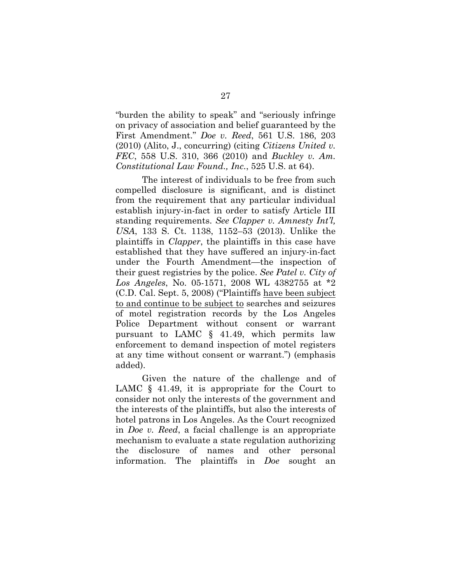"burden the ability to speak" and "seriously infringe on privacy of association and belief guaranteed by the First Amendment." *Doe v. Reed*, 561 U.S. 186, 203 (2010) (Alito, J., concurring) (citing *Citizens United v. FEC*, 558 U.S. 310, 366 (2010) and *Buckley v. Am. Constitutional Law Found., Inc.*, 525 U.S. at 64).

The interest of individuals to be free from such compelled disclosure is significant, and is distinct from the requirement that any particular individual establish injury-in-fact in order to satisfy Article III standing requirements. *See Clapper v. Amnesty Int'l, USA*, 133 S. Ct. 1138, 1152–53 (2013). Unlike the plaintiffs in *Clapper*, the plaintiffs in this case have established that they have suffered an injury-in-fact under the Fourth Amendment—the inspection of their guest registries by the police. *See Patel v. City of Los Angeles*, No. 05-1571, 2008 WL 4382755 at \*2 (C.D. Cal. Sept. 5, 2008) ("Plaintiffs have been subject to and continue to be subject to searches and seizures of motel registration records by the Los Angeles Police Department without consent or warrant pursuant to LAMC § 41.49, which permits law enforcement to demand inspection of motel registers at any time without consent or warrant.") (emphasis added).

Given the nature of the challenge and of LAMC  $\S$  41.49, it is appropriate for the Court to consider not only the interests of the government and the interests of the plaintiffs, but also the interests of hotel patrons in Los Angeles. As the Court recognized in *Doe v. Reed*, a facial challenge is an appropriate mechanism to evaluate a state regulation authorizing the disclosure of names and other personal information. The plaintiffs in *Doe* sought an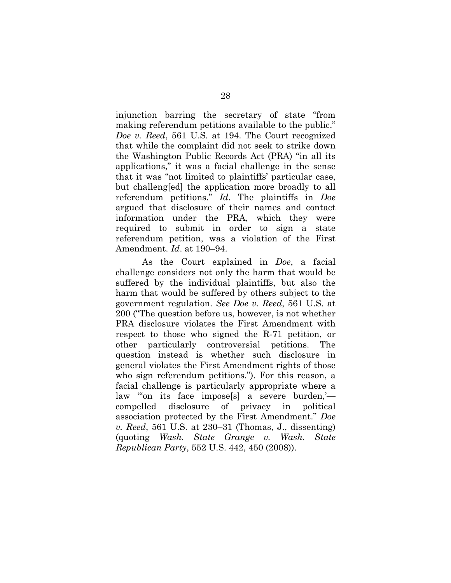injunction barring the secretary of state "from making referendum petitions available to the public." *Doe v. Reed*, 561 U.S. at 194. The Court recognized that while the complaint did not seek to strike down the Washington Public Records Act (PRA) "in all its applications," it was a facial challenge in the sense that it was "not limited to plaintiffs' particular case, but challeng[ed] the application more broadly to all referendum petitions." *Id*. The plaintiffs in *Doe* argued that disclosure of their names and contact information under the PRA, which they were required to submit in order to sign a state referendum petition, was a violation of the First Amendment. *Id*. at 190–94.

As the Court explained in *Doe*, a facial challenge considers not only the harm that would be suffered by the individual plaintiffs, but also the harm that would be suffered by others subject to the government regulation. *See Doe v. Reed*, 561 U.S. at 200 ("The question before us, however, is not whether PRA disclosure violates the First Amendment with respect to those who signed the R-71 petition, or other particularly controversial petitions. The question instead is whether such disclosure in general violates the First Amendment rights of those who sign referendum petitions."). For this reason, a facial challenge is particularly appropriate where a law "on its face impose[s] a severe burden, compelled disclosure of privacy in political association protected by the First Amendment." *Doe v. Reed*, 561 U.S. at 230–31 (Thomas, J., dissenting) (quoting *Wash. State Grange v. Wash. State Republican Party*, 552 U.S. 442, 450 (2008)).

28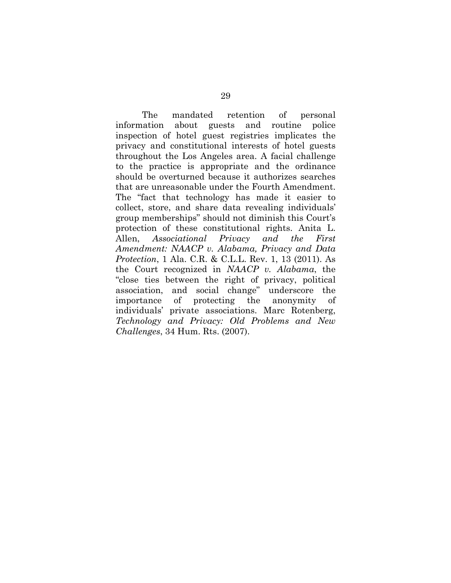The mandated retention of personal information about guests and routine police inspection of hotel guest registries implicates the privacy and constitutional interests of hotel guests throughout the Los Angeles area. A facial challenge to the practice is appropriate and the ordinance should be overturned because it authorizes searches that are unreasonable under the Fourth Amendment. The "fact that technology has made it easier to collect, store, and share data revealing individuals' group memberships" should not diminish this Court's protection of these constitutional rights. Anita L. Allen, *Associational Privacy and the First Amendment: NAACP v. Alabama, Privacy and Data Protection*, 1 Ala. C.R. & C.L.L. Rev. 1, 13 (2011). As the Court recognized in *NAACP v. Alabama*, the "close ties between the right of privacy, political association, and social change" underscore the importance of protecting the anonymity of individuals' private associations. Marc Rotenberg, *Technology and Privacy: Old Problems and New Challenges*, 34 Hum. Rts. (2007).